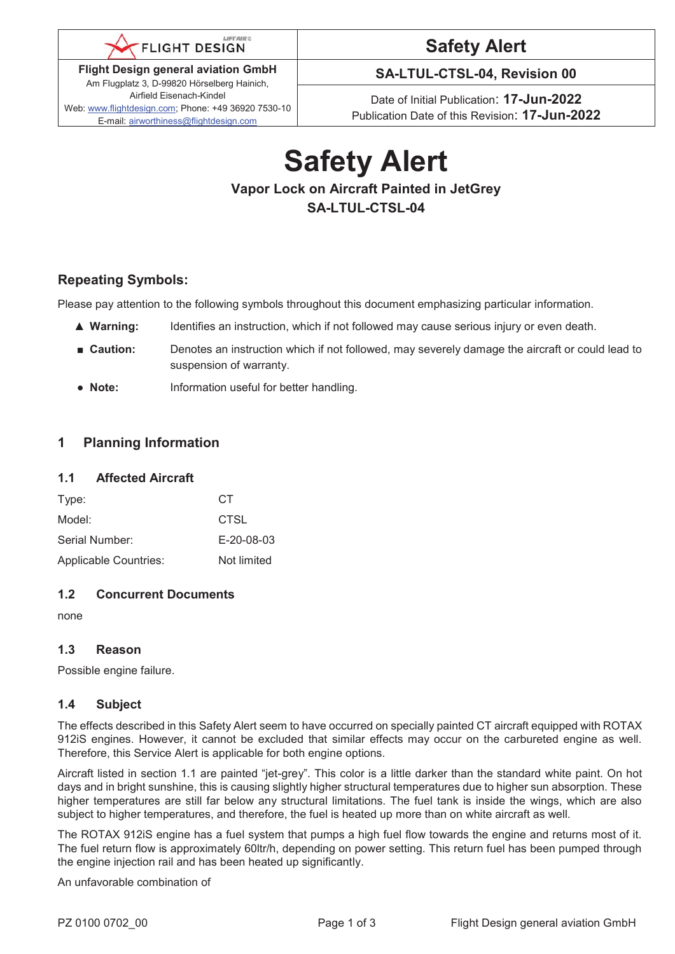

**Flight Design general aviation GmbH**  Am Flugplatz 3, D-99820 Hörselberg Hainich, Airfield Eisenach-Kindel Web: www.flightdesign.com; Phone: +49 36920 7530-10 E-mail: airworthiness@flightdesign.com

# **Safety Alert**

**SA-LTUL-CTSL-04, Revision 00** 

Date of Initial Publication: **17-Jun-2022**  Publication Date of this Revision: **17-Jun-2022**

# **Safety Alert Vapor Lock on Aircraft Painted in JetGrey SA-LTUL-CTSL-04**

# **Repeating Symbols:**

Please pay attention to the following symbols throughout this document emphasizing particular information.

- ▲ **Warning:** Identifies an instruction, which if not followed may cause serious injury or even death.
- **Caution:** Denotes an instruction which if not followed, may severely damage the aircraft or could lead to suspension of warranty.
- **Note:** Information useful for better handling.

# **1 Planning Information**

### **1.1 Affected Aircraft**

| Type:                        | CТ                 |
|------------------------------|--------------------|
| Model:                       | CTSL               |
| Serial Number:               | $E - 20 - 08 - 03$ |
| <b>Applicable Countries:</b> | Not limited        |

# **1.2 Concurrent Documents**

none

# **1.3 Reason**

Possible engine failure.

# **1.4 Subject**

The effects described in this Safety Alert seem to have occurred on specially painted CT aircraft equipped with ROTAX 912iS engines. However, it cannot be excluded that similar effects may occur on the carbureted engine as well. Therefore, this Service Alert is applicable for both engine options.

Aircraft listed in section 1.1 are painted "jet-grey". This color is a little darker than the standard white paint. On hot days and in bright sunshine, this is causing slightly higher structural temperatures due to higher sun absorption. These higher temperatures are still far below any structural limitations. The fuel tank is inside the wings, which are also subject to higher temperatures, and therefore, the fuel is heated up more than on white aircraft as well.

The ROTAX 912iS engine has a fuel system that pumps a high fuel flow towards the engine and returns most of it. The fuel return flow is approximately 60ltr/h, depending on power setting. This return fuel has been pumped through the engine injection rail and has been heated up significantly.

An unfavorable combination of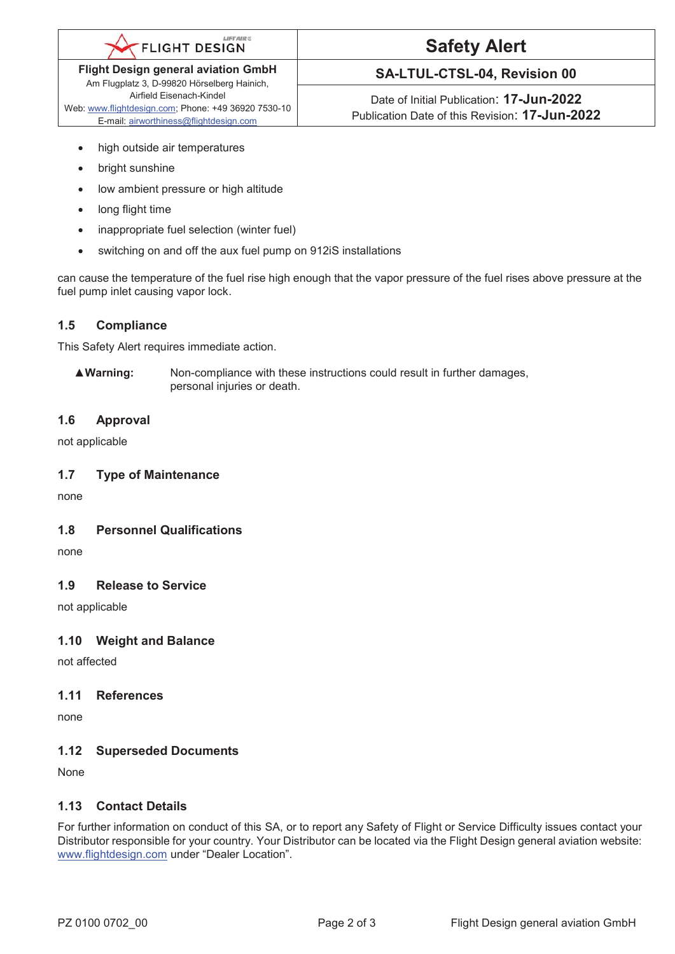#### **LIFTAIRC FLIGHT DESIGN**

**Flight Design general aviation GmbH**  Am Flugplatz 3, D-99820 Hörselberg Hainich, Airfield Eisenach-Kindel Web: www.flightdesign.com; Phone: +49 36920 7530-10

E-mail: airworthiness@flightdesign.com

# **Safety Alert**

# **SA-LTUL-CTSL-04, Revision 00**

Date of Initial Publication: **17-Jun-2022**  Publication Date of this Revision: **17-Jun-2022**

- high outside air temperatures
- bright sunshine
- low ambient pressure or high altitude
- long flight time
- inappropriate fuel selection (winter fuel)
- switching on and off the aux fuel pump on 912iS installations

can cause the temperature of the fuel rise high enough that the vapor pressure of the fuel rises above pressure at the fuel pump inlet causing vapor lock.

# **1.5 Compliance**

This Safety Alert requires immediate action.

▲**Warning:** Non-compliance with these instructions could result in further damages, personal injuries or death.

# **1.6 Approval**

not applicable

#### **1.7 Type of Maintenance**

none

#### **1.8 Personnel Qualifications**

none

#### **1.9 Release to Service**

not applicable

# **1.10 Weight and Balance**

not affected

#### **1.11 References**

none

#### **1.12 Superseded Documents**

None

# **1.13 Contact Details**

For further information on conduct of this SA, or to report any Safety of Flight or Service Difficulty issues contact your Distributor responsible for your country. Your Distributor can be located via the Flight Design general aviation website: www.flightdesign.com under "Dealer Location".